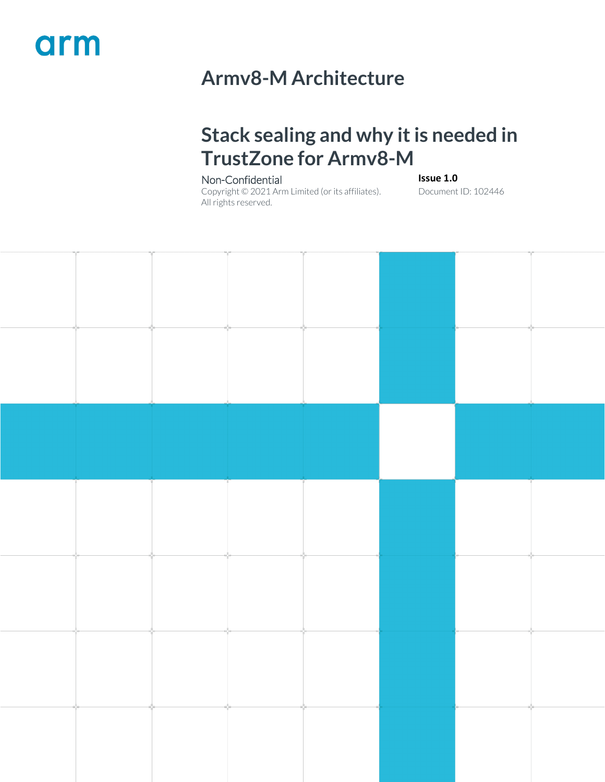## arm

## **Armv8-M Architecture**

### **Stack sealing and why it is needed in TrustZone for Armv8-M**

#### Non-Confidential **Issue 1.0**

Copyright © 2021 Arm Limited (or its affiliates). All rights reserved.

Document ID: 102446

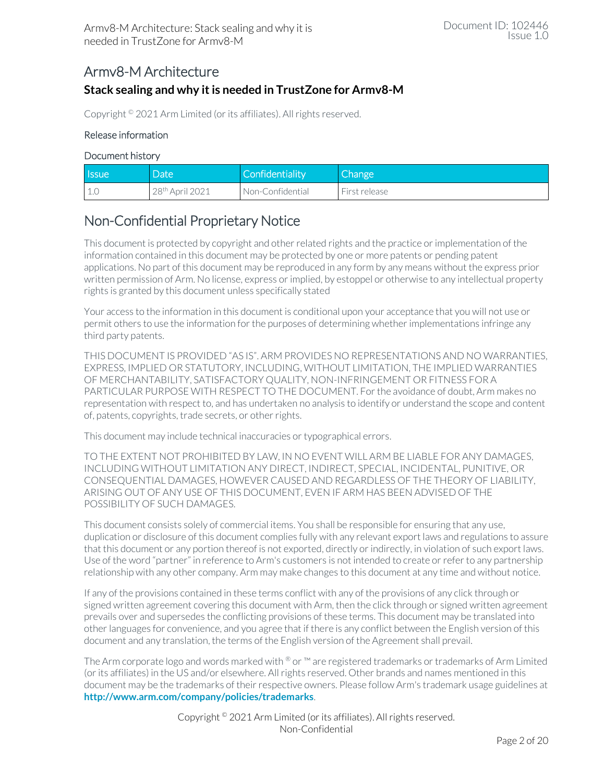#### Armv8-M Architecture

#### **Stack sealing and why it is needed in TrustZone for Armv8-M**

Copyright © 2021 Arm Limited (or its affiliates). All rights reserved.

#### Release information

#### Document history

| l Issue      | Date                        | Confidentiality  | Change        |
|--------------|-----------------------------|------------------|---------------|
| 111<br>- 1.U | 28 <sup>th</sup> April 2021 | Non-Confidential | First release |

### Non-Confidential Proprietary Notice

This document is protected by copyright and other related rights and the practice or implementation of the information contained in this document may be protected by one or more patents or pending patent applications. No part of this document may be reproduced in any form by any means without the express prior written permission of Arm. No license, express or implied, by estoppel or otherwise to any intellectual property rights is granted by this document unless specifically stated

Your access to the information in this document is conditional upon your acceptance that you will not use or permit others to use the information for the purposes of determining whether implementations infringe any third party patents.

THIS DOCUMENT IS PROVIDED "AS IS". ARM PROVIDES NO REPRESENTATIONS AND NO WARRANTIES, EXPRESS, IMPLIED OR STATUTORY, INCLUDING, WITHOUT LIMITATION, THE IMPLIED WARRANTIES OF MERCHANTABILITY, SATISFACTORY QUALITY, NON-INFRINGEMENT OR FITNESS FOR A PARTICULAR PURPOSE WITH RESPECT TO THE DOCUMENT. For the avoidance of doubt, Arm makes no representation with respect to, and has undertaken no analysis to identify or understand the scope and content of, patents, copyrights, trade secrets, or other rights.

This document may include technical inaccuracies or typographical errors.

TO THE EXTENT NOT PROHIBITED BY LAW, IN NO EVENT WILL ARM BE LIABLE FOR ANY DAMAGES, INCLUDING WITHOUT LIMITATION ANY DIRECT, INDIRECT, SPECIAL, INCIDENTAL, PUNITIVE, OR CONSEQUENTIAL DAMAGES, HOWEVER CAUSED AND REGARDLESS OF THE THEORY OF LIABILITY, ARISING OUT OF ANY USE OF THIS DOCUMENT, EVEN IF ARM HAS BEEN ADVISED OF THE POSSIBILITY OF SUCH DAMAGES.

This document consists solely of commercial items. You shall be responsible for ensuring that any use, duplication or disclosure of this document complies fully with any relevant export laws and regulations to assure that this document or any portion thereof is not exported, directly or indirectly, in violation of such export laws. Use of the word "partner" in reference to Arm's customers is not intended to create or refer to any partnership relationship with any other company. Arm may make changes to this document at any time and without notice.

If any of the provisions contained in these terms conflict with any of the provisions of any click through or signed written agreement covering this document with Arm, then the click through or signed written agreement prevails over and supersedes the conflicting provisions of these terms. This document may be translated into other languages for convenience, and you agree that if there is any conflict between the English version of this document and any translation, the terms of the English version of the Agreement shall prevail.

The Arm corporate logo and words marked with  $\degree$  or  $\degree$  are registered trademarks or trademarks of Arm Limited (or its affiliates) in the US and/or elsewhere. All rights reserved. Other brands and names mentioned in this document may be the trademarks of their respective owners. Please follow Arm's trademark usage guidelines at **<http://www.arm.com/company/policies/trademarks>**.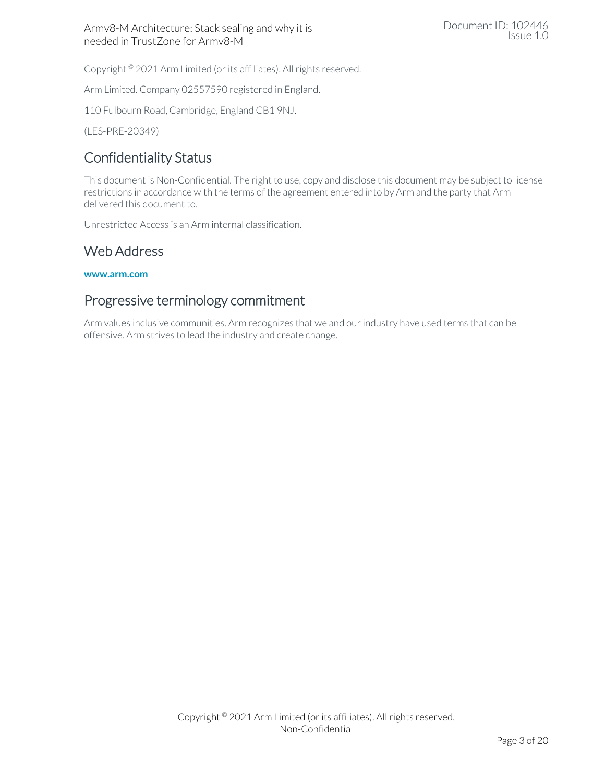Copyright © 2021 Arm Limited (or its affiliates). All rights reserved.

Arm Limited. Company 02557590 registered in England.

110 Fulbourn Road, Cambridge, England CB1 9NJ.

(LES-PRE-20349)

#### Confidentiality Status

This document is Non-Confidential. The right to use, copy and disclose this document may be subject to license restrictions in accordance with the terms of the agreement entered into by Arm and the party that Arm delivered this document to.

Unrestricted Access is an Arm internal classification.

#### Web Address

**[www.arm.com](https://www.arm.com/)**

#### Progressive terminology commitment

Arm values inclusive communities. Arm recognizes that we and ourindustry have used terms that can be offensive. Arm strives to lead the industry and create change.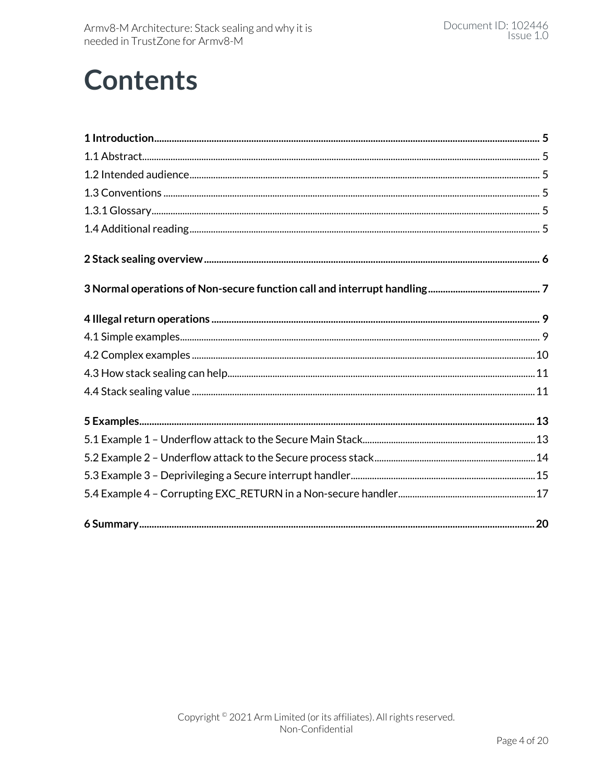## **Contents**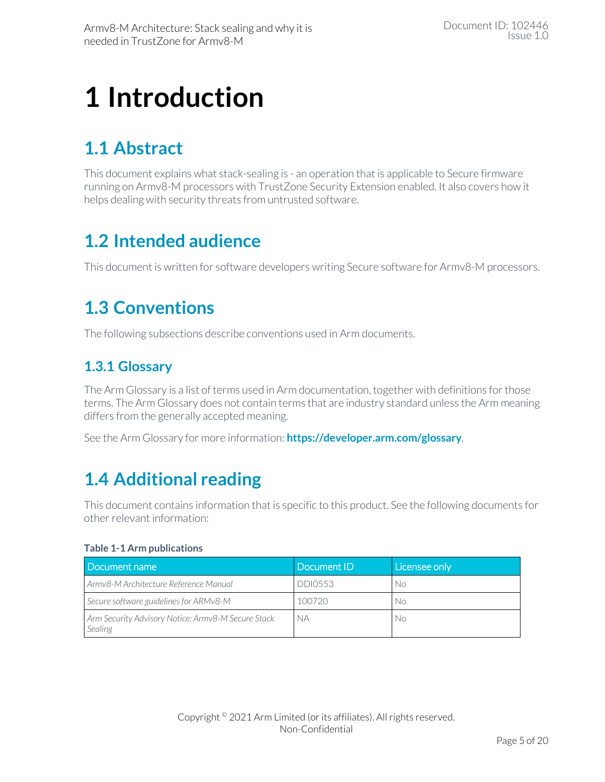## <span id="page-4-0"></span>**1 Introduction**

### <span id="page-4-1"></span>**1.1 Abstract**

This document explains what stack-sealing is - an operation that is applicable to Secure firmware running on Armv8-M processors with TrustZone Security Extension enabled. It also covers how it helps dealing with security threats from untrusted software.

### <span id="page-4-2"></span>**1.2 Intended audience**

<span id="page-4-3"></span>This document is written for software developers writing Secure software for Armv8-M processors.

### **1.3 Conventions**

<span id="page-4-4"></span>The following subsections describe conventions used in Arm documents.

### **1.3.1 Glossary**

The Arm Glossary is a list of terms used in Arm documentation, together with definitions for those terms. The Arm Glossary does not contain terms that are industry standard unless the Arm meaning differs from the generally accepted meaning.

<span id="page-4-5"></span>See the Arm Glossary for more information: **<https://developer.arm.com/glossary>**.

### **1.4 Additional reading**

This document contains information that is specific to this product. See the following documents for other relevant information:

#### **Table 1-1 Arm publications**

| Document name                                                 | Document ID    | Licensee only |
|---------------------------------------------------------------|----------------|---------------|
| Armv8-M Architecture Reference Manual                         | <b>DDI0553</b> | No            |
| Secure software guidelines for ARMv8-M                        | 100720         | . No          |
| Arm Security Advisory Notice: Armv8-M Secure Stack<br>Sealing | NА             | . No          |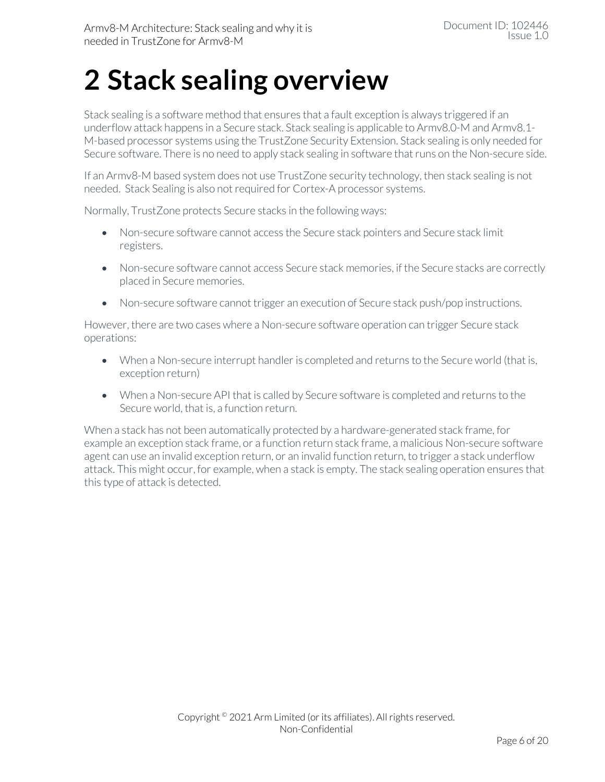## <span id="page-5-0"></span>**2 Stack sealing overview**

Stack sealing is a software method that ensures that a fault exception is always triggered if an underflow attack happens in a Secure stack. Stack sealing is applicable to Armv8.0-M and Armv8.1- M-based processor systems using the TrustZone Security Extension. Stack sealing is only needed for Secure software. There is no need to apply stack sealing in software that runs on the Non-secure side.

If an Armv8-M based system does not use TrustZone security technology, then stack sealing is not needed. Stack Sealing is also not required for Cortex-A processor systems.

Normally, TrustZone protects Secure stacks in the following ways:

- Non-secure software cannot access the Secure stack pointers and Secure stack limit registers.
- Non-secure software cannot access Secure stack memories, if the Secure stacks are correctly placed in Secure memories.
- Non-secure software cannot trigger an execution of Secure stack push/pop instructions.

However, there are two cases where a Non-secure software operation can trigger Secure stack operations:

- When a Non-secure interrupt handler is completed and returns to the Secure world (that is, exception return)
- When a Non-secure API that is called by Secure software is completed and returns to the Secure world, that is, a function return.

When a stack has not been automatically protected by a hardware-generated stack frame, for example an exception stack frame, or a function return stack frame, a malicious Non-secure software agent can use an invalid exception return, or an invalid function return, to trigger a stack underflow attack. This might occur, for example, when a stack is empty. The stack sealing operation ensures that this type of attack is detected.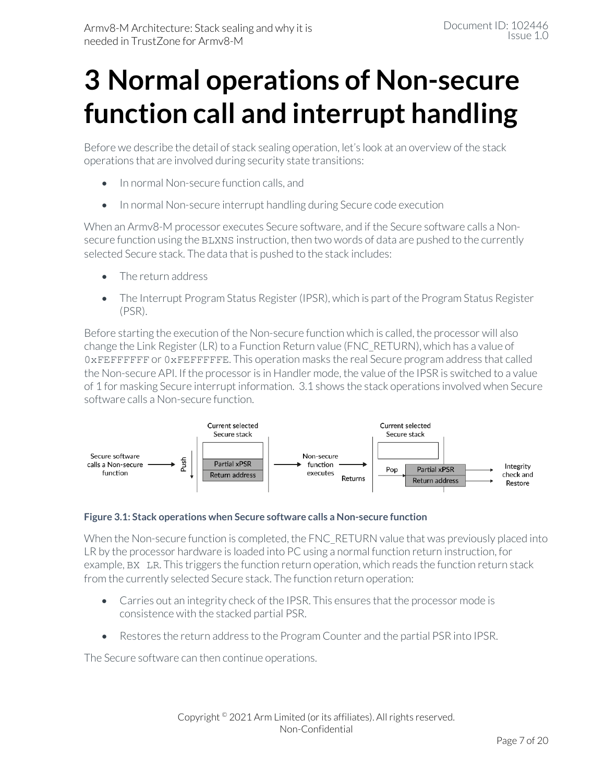## <span id="page-6-0"></span>**3 Normal operations of Non-secure function call and interrupt handling**

Before we describe the detail of stack sealing operation, let's look at an overview of the stack operations that are involved during security state transitions:

- In normal Non-secure function calls, and
- In normal Non-secure interrupt handling during Secure code execution

When an Armv8-M processor executes Secure software, and if the Secure software calls a Nonsecure function using the BLXNS instruction, then two words of data are pushed to the currently selected Secure stack. The data that is pushed to the stack includes:

- The return address
- The Interrupt Program Status Register (IPSR), which is part of the Program Status Register (PSR).

Before starting the execution of the Non-secure function which is called, the processor will also change the Link Register(LR) to a Function Return value (FNC\_RETURN), which has a value of 0xFEFFFFFF or 0xFEFFFFFE. This operation masks the real Secure program address that called the Non-secure API. If the processor is in Handler mode, the value of the IPSR is switched to a value of 1 for masking Secure interrupt information. [3.1](#page-6-1) shows the stack operations involved when Secure software calls a Non-secure function.



#### <span id="page-6-1"></span>**Figure 3.1: Stack operations when Secure software calls a Non-secure function**

When the Non-secure function is completed, the FNC\_RETURN value that was previously placed into LR by the processor hardware is loaded into PC using a normal function return instruction, for example, BX LR. This triggers the function return operation, which reads the function return stack from the currently selected Secure stack. The function return operation:

- Carries out an integrity check of the IPSR. This ensures that the processor mode is consistence with the stacked partial PSR.
- Restores the return address to the Program Counter and the partial PSR into IPSR.

The Secure software can then continue operations.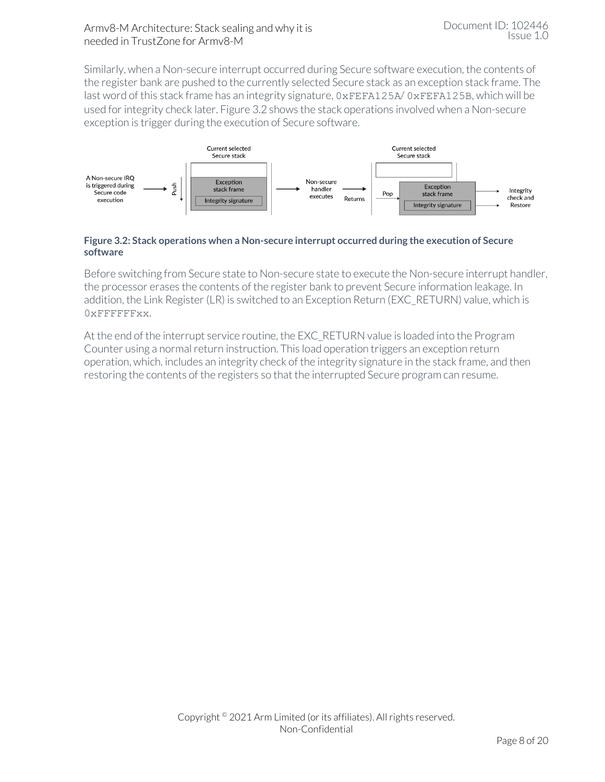Similarly, when a Non-secure interrupt occurred during Secure software execution, the contents of the register bank are pushed to the currently selected Secure stack as an exception stack frame. The last word of this stack frame has an integrity signature, 0xFEFA125A/0xFEFA125B, which will be used for integrity check later. [Figure 3.2](#page-7-0) shows the stack operations involved when a Non-secure exception is trigger during the execution of Secure software.



#### <span id="page-7-0"></span>**Figure 3.2: Stack operations when a Non-secure interrupt occurred during the execution of Secure software**

Before switching from Secure state to Non-secure state to execute the Non-secure interrupt handler, the processor erases the contents of the register bank to prevent Secure information leakage. In addition, the Link Register (LR) is switched to an Exception Return (EXC\_RETURN) value, which is 0xFFFFFFxx.

At the end of the interrupt service routine, the EXC\_RETURN value is loaded into the Program Counter using a normal return instruction. This load operation triggers an exception return operation, which. includes an integrity check of the integrity signature in the stack frame, and then restoring the contents of the registers so that the interrupted Secure program can resume.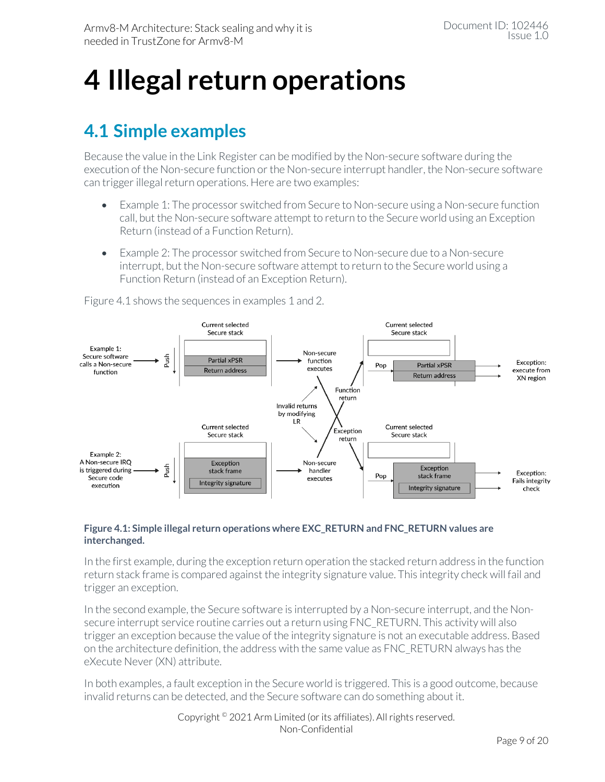## <span id="page-8-0"></span>**4 Illegal return operations**

### <span id="page-8-1"></span>**4.1 Simple examples**

Because the value in the Link Register can be modified by the Non-secure software during the execution of the Non-secure function or the Non-secure interrupt handler, the Non-secure software can trigger illegal return operations. Here are two examples:

- Example 1: The processor switched from Secure to Non-secure using a Non-secure function call, but the Non-secure software attempt to return to the Secure world using an Exception Return (instead of a Function Return).
- Example 2: The processor switched from Secure to Non-secure due to a Non-secure interrupt, but the Non-secure software attempt to return to the Secure world using a Function Return (instead of an Exception Return).



[Figure 4.1](#page-8-2) shows the sequences in examples 1 and 2.

#### <span id="page-8-2"></span>**Figure 4.1: Simple illegal return operations where EXC\_RETURN and FNC\_RETURN values are interchanged.**

In the first example, during the exception return operation the stacked return address in the function return stack frame is compared against the integrity signature value. This integrity check will fail and trigger an exception.

In the second example, the Secure software is interrupted by a Non-secure interrupt, and the Nonsecure interrupt service routine carries out a return using FNC\_RETURN. This activity will also trigger an exception because the value of the integrity signature is not an executable address. Based on the architecture definition, the address with the same value as FNC\_RETURN always has the eXecute Never(XN) attribute.

In both examples, a fault exception in the Secure world is triggered. This is a good outcome, because invalid returns can be detected, and the Secure software can do something about it.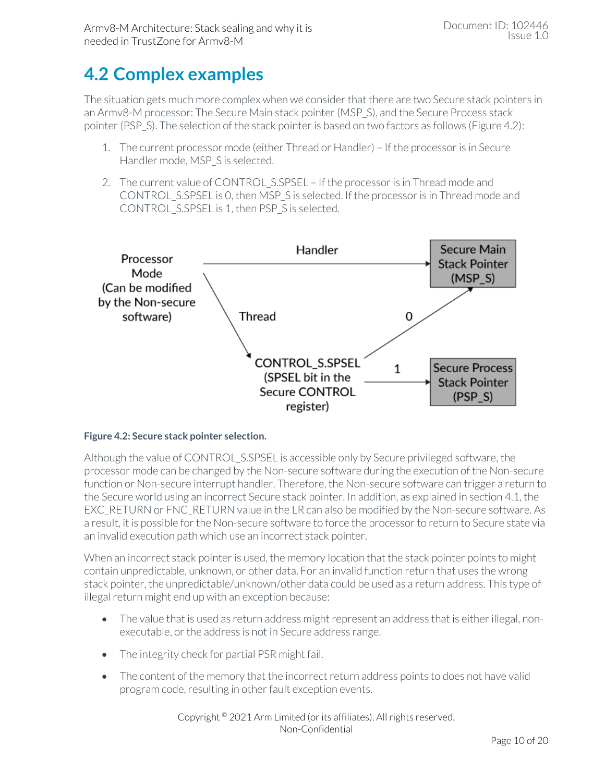### <span id="page-9-0"></span>**4.2 Complex examples**

The situation gets much more complex when we consider that there are two Secure stack pointers in an Armv8-M processor: The Secure Main stack pointer(MSP\_S), and the Secure Process stack pointer (PSP\_S). The selection of the stack pointer is based on two factors as follows [\(Figure 4.2\)](#page-9-1):

- 1. The current processor mode (either Thread or Handler) If the processor is in Secure Handler mode, MSP S is selected.
- 2. The current value of CONTROL S.SPSEL If the processor is in Thread mode and CONTROL\_S.SPSEL is 0, then MSP\_S is selected. If the processor is in Thread mode and CONTROL\_S.SPSEL is 1, then PSP\_S is selected.



#### <span id="page-9-1"></span>**Figure 4.2: Secure stack pointer selection.**

Although the value of CONTROL\_S.SPSEL is accessible only by Secure privileged software, the processor mode can be changed by the Non-secure software during the execution of the Non-secure function or Non-secure interrupt handler. Therefore, the Non-secure software can trigger a return to the Secure world using an incorrect Secure stack pointer. In addition, as explained in section [4.1,](#page-8-1) the EXC\_RETURN or FNC\_RETURN value in the LR can also be modified by the Non-secure software. As a result, it is possible for the Non-secure software to force the processor to return to Secure state via an invalid execution path which use an incorrect stack pointer.

When an incorrect stack pointer is used, the memory location that the stack pointer points to might contain unpredictable, unknown, or other data. For an invalid function return that uses the wrong stack pointer, the unpredictable/unknown/other data could be used as a return address. This type of illegal return might end up with an exception because:

- The value that is used as return address might represent an address that is either illegal, nonexecutable, or the address is not in Secure address range.
- The integrity check for partial PSR might fail.
- The content of the memory that the incorrect return address points to does not have valid program code, resulting in other fault exception events.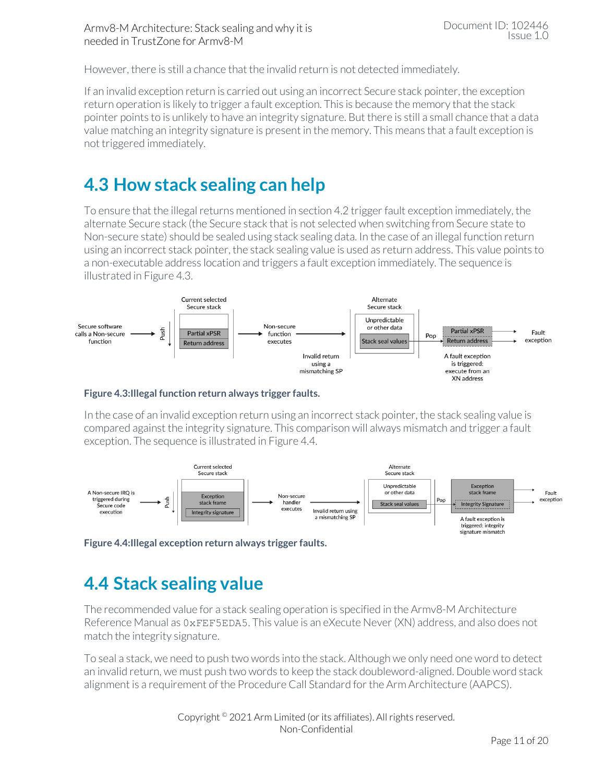However, there is still a chance that the invalid return is not detected immediately.

If an invalid exception return is carried out using an incorrect Secure stack pointer, the exception return operation is likely to trigger a fault exception. This is because the memory that the stack pointer points to is unlikely to have an integrity signature. But there is still a small chance that a data value matching an integrity signature is present in the memory. This means that a fault exception is not triggered immediately.

### <span id="page-10-0"></span>**4.3 How stack sealing can help**

To ensure that the illegal returns mentioned in section [4.2](#page-9-0) trigger fault exception immediately, the alternate Secure stack (the Secure stack that is not selected when switching from Secure state to Non-secure state) should be sealed using stack sealing data. In the case of an illegal function return using an incorrect stack pointer, the stack sealing value is used as return address. This value points to a non-executable address location and triggers a fault exception immediately. The sequence is illustrated i[n Figure 4.3.](#page-10-2)



#### <span id="page-10-2"></span>**Figure 4.3:Illegal function return always trigger faults.**

In the case of an invalid exception return using an incorrect stack pointer, the stack sealing value is compared against the integrity signature. This comparison will always mismatch and trigger a fault exception. The sequence is illustrated i[n Figure 4.4.](#page-10-3)



<span id="page-10-3"></span><span id="page-10-1"></span>

### **4.4 Stack sealing value**

The recommended value for a stack sealing operation is specified in the Armv8-M Architecture Reference Manual as 0xFEF5EDA5. This value is an eXecute Never (XN) address, and also does not match the integrity signature.

To seal a stack, we need to push two words into the stack. Although we only need one word to detect an invalid return, we must push two words to keep the stack doubleword-aligned. Double word stack alignment is a requirement of the Procedure Call Standard for the Arm Architecture (AAPCS).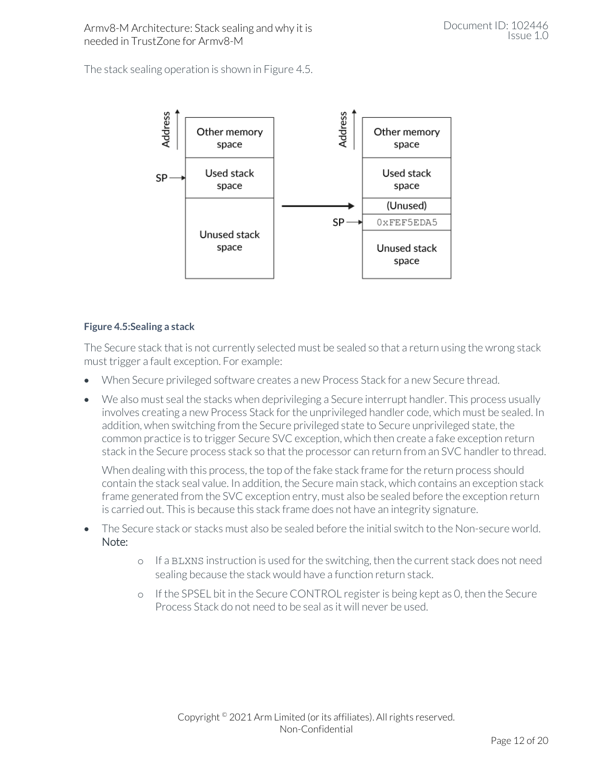The stack sealing operation is shown in [Figure 4.5.](#page-11-0)



#### <span id="page-11-0"></span>**Figure 4.5:Sealing a stack**

The Secure stack that is not currently selected must be sealed so that a return using the wrong stack must trigger a fault exception. For example:

- When Secure privileged software creates a new Process Stack for a new Secure thread.
- We also must seal the stacks when deprivileging a Secure interrupt handler. This process usually involves creating a new Process Stack for the unprivileged handler code, which must be sealed. In addition, when switching from the Secure privileged state to Secure unprivileged state, the common practice is to trigger Secure SVC exception, which then create a fake exception return stack in the Secure process stack so that the processor can return from an SVC handler to thread.

When dealing with this process, the top of the fake stack frame for the return process should contain the stack seal value. In addition, the Secure main stack, which contains an exception stack frame generated from the SVC exception entry, must also be sealed before the exception return is carried out. This is because this stack frame does not have an integrity signature.

- The Secure stack or stacks must also be sealed before the initial switch to the Non-secure world. Note:
	- o If a BLXNS instruction is used for the switching, then the current stack does not need sealing because the stack would have a function return stack.
	- o If the SPSEL bit in the Secure CONTROL register is being kept as 0, then the Secure Process Stack do not need to be seal as it will never be used.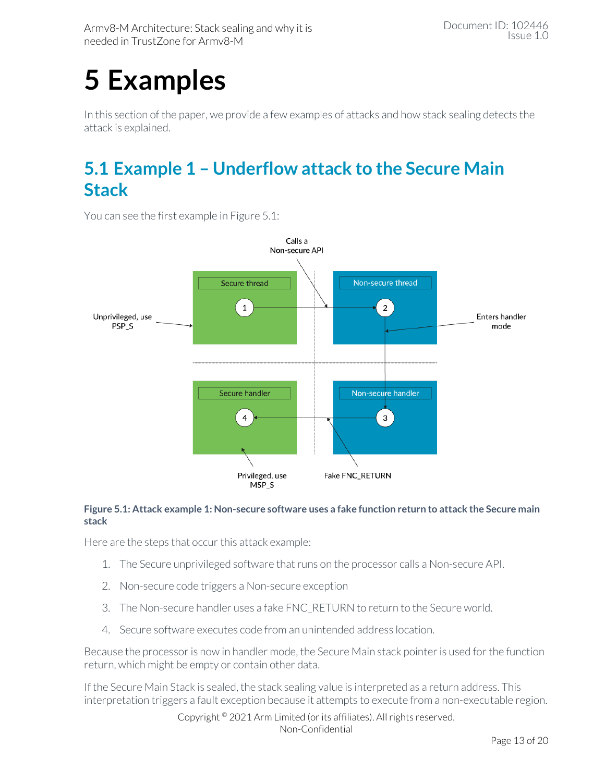# <span id="page-12-0"></span>**5 Examples**

In this section of the paper, we provide a few examples of attacks and how stack sealing detects the attack is explained.

### <span id="page-12-1"></span>**5.1 Example 1 – Underflow attack to the Secure Main Stack**

Calls a Non-secure API Non-secure thread Secure thread  $\mathbf 1$  $\overline{2}$ Unprivileged, use Enters handler PSP<sub>S</sub> mode Secure handler Non-secure handler  $\overline{4}$ 3 Fake FNC RETURN Privileged, use MSP\_S

You can see the first example in [Figure 5.1:](#page-12-2)

#### <span id="page-12-2"></span>**Figure 5.1: Attack example 1: Non-secure software uses a fake function return to attack the Secure main stack**

Here are the steps that occur this attack example:

- 1. The Secure unprivileged software that runs on the processor calls a Non-secure API.
- 2. Non-secure code triggers a Non-secure exception
- 3. The Non-secure handler uses a fake FNC\_RETURN to return to the Secure world.
- 4. Secure software executes code from an unintended address location.

Because the processor is now in handler mode, the Secure Main stack pointeris used for the function return, which might be empty or contain other data.

If the Secure Main Stack is sealed, the stack sealing value is interpreted as a return address. This interpretation triggers a fault exception because it attempts to execute from a non-executable region.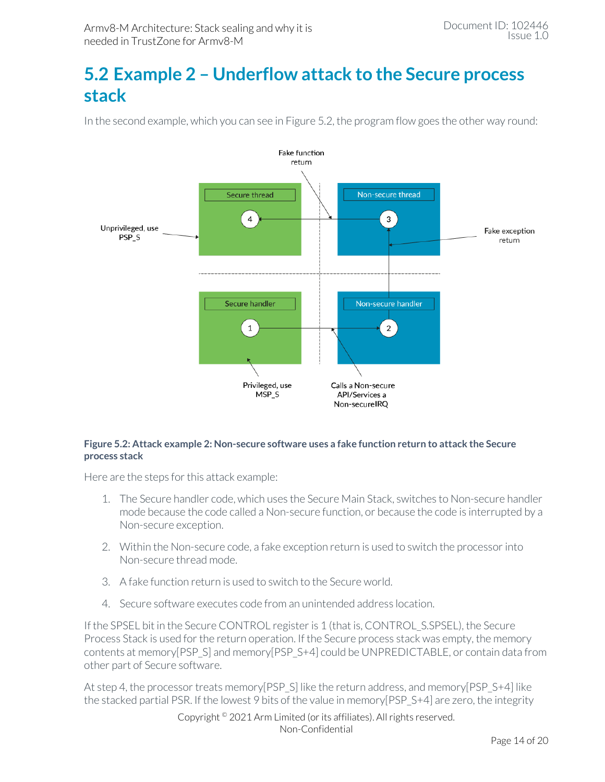### <span id="page-13-0"></span>**5.2 Example 2 – Underflow attack to the Secure process stack**

In the second example, which you can see in [Figure 5.2,](#page-13-1) the program flow goes the other way round:



#### <span id="page-13-1"></span>**Figure 5.2: Attack example 2: Non-secure software uses a fake function return to attack the Secure process stack**

Here are the steps for this attack example:

- 1. The Secure handler code, which uses the Secure Main Stack, switches to Non-secure handler mode because the code called a Non-secure function, or because the code is interrupted by a Non-secure exception.
- 2. Within the Non-secure code, a fake exception return is used to switch the processor into Non-secure thread mode.
- 3. A fake function return is used to switch to the Secure world.
- 4. Secure software executes code from an unintended address location.

If the SPSEL bit in the Secure CONTROL register is 1 (that is, CONTROL\_S.SPSEL), the Secure Process Stack is used for the return operation. If the Secure process stack was empty, the memory contents at memory[PSP\_S] and memory[PSP\_S+4] could be UNPREDICTABLE, or contain data from other part of Secure software.

At step 4, the processor treats memory[PSP\_S] like the return address, and memory[PSP\_S+4] like the stacked partial PSR. If the lowest 9 bits of the value in memory[PSP\_S+4] are zero, the integrity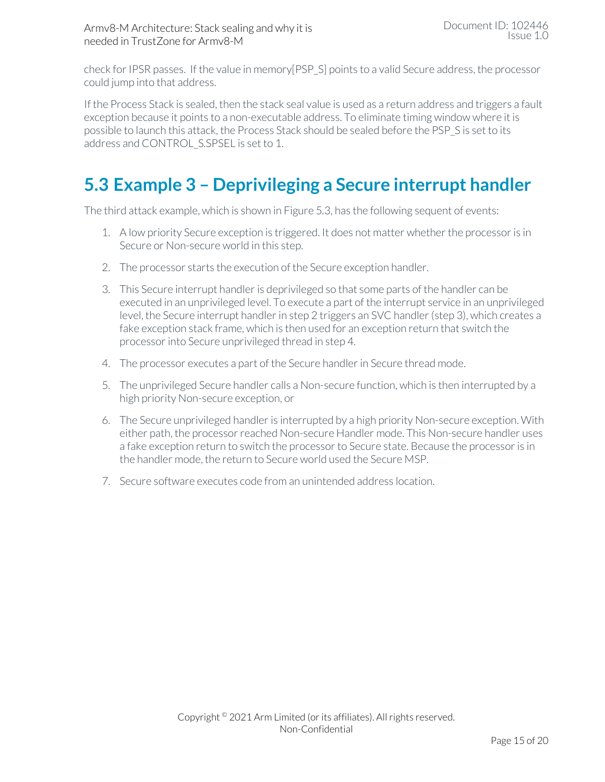check for IPSR passes. If the value in memory[PSP\_S] points to a valid Secure address, the processor could jump into that address.

If the Process Stack is sealed, then the stack seal value is used as a return address and triggers a fault exception because it points to a non-executable address. To eliminate timing window where it is possible to launch this attack, the Process Stack should be sealed before the PSP\_S is set to its address and CONTROL\_S.SPSEL is set to 1.

### <span id="page-14-0"></span>**5.3 Example 3 – Deprivileging a Secure interrupt handler**

The third attack example, which is shown i[n Figure 5.3,](#page-15-0) has the following sequent of events:

- 1. A low priority Secure exception is triggered. It does not matter whether the processor is in Secure or Non-secure world in this step.
- 2. The processor starts the execution of the Secure exception handler.
- 3. This Secure interrupt handler is deprivileged so that some parts of the handler can be executed in an unprivileged level. To execute a part of the interrupt service in an unprivileged level, the Secure interrupt handler in step 2 triggers an SVC handler (step 3), which creates a fake exception stack frame, which is then used for an exception return that switch the processor into Secure unprivileged thread in step 4.
- 4. The processor executes a part of the Secure handler in Secure thread mode.
- 5. The unprivileged Secure handler calls a Non-secure function, which is then interrupted by a high priority Non-secure exception, or
- 6. The Secure unprivileged handler is interrupted by a high priority Non-secure exception. With either path, the processor reached Non-secure Handler mode. This Non-secure handler uses a fake exception return to switch the processor to Secure state. Because the processor is in the handler mode, the return to Secure world used the Secure MSP.
- 7. Secure software executes code from an unintended address location.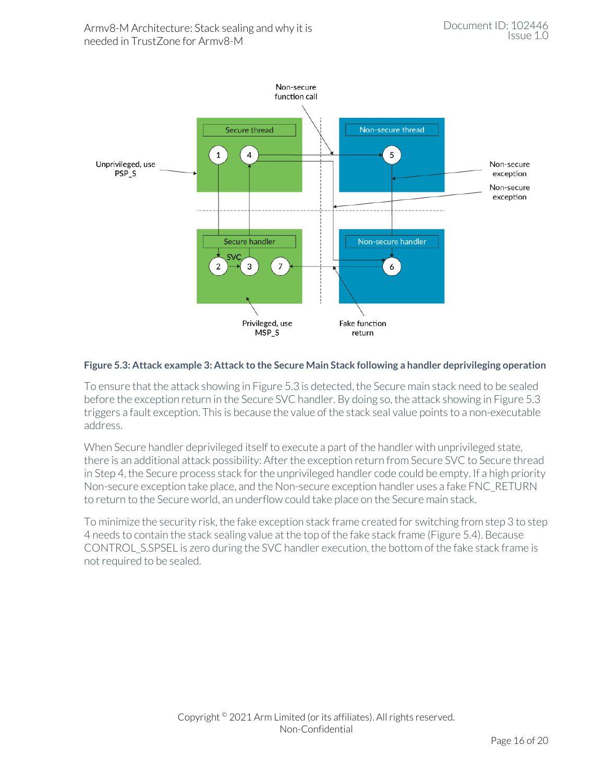<span id="page-15-0"></span>

#### **Figure 5.3: Attack example 3: Attack to the Secure Main Stack following a handler deprivileging operation**

To ensure that the attack showing i[n Figure 5.3](#page-15-0) is detected, the Secure main stack need to be sealed before the exception return in the Secure SVC handler. By doing so, the attack showing i[n Figure 5.3](#page-15-0) triggers a fault exception. This is because the value of the stack seal value points to a non-executable address.

When Secure handler deprivileged itself to execute a part of the handler with unprivileged state, there is an additional attack possibility: After the exception return from Secure SVC to Secure thread in Step 4, the Secure process stack for the unprivileged handler code could be empty. If a high priority Non-secure exception take place, and the Non-secure exception handler uses a fake FNC\_RETURN to return to the Secure world, an underflow could take place on the Secure main stack.

To minimize the security risk, the fake exception stack frame created for switching from step 3 to step 4 needs to contain the stack sealing value at the top of the fake stack frame [\(Figure 5.4\)](#page-16-1). Because CONTROL\_S.SPSEL is zero during the SVC handler execution, the bottom of the fake stack frame is not required to be sealed.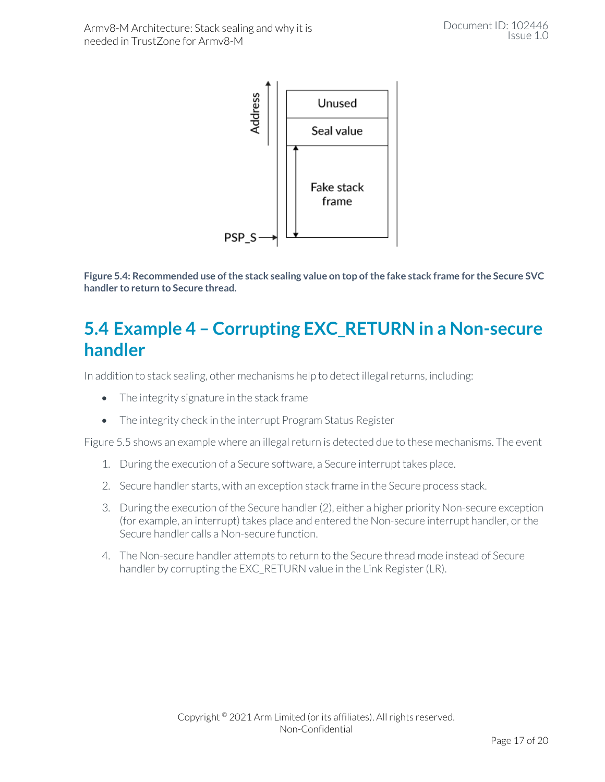

<span id="page-16-1"></span>**Figure 5.4: Recommended use of the stack sealing value on top of the fake stack frame for the Secure SVC handler to return to Secure thread.**

### <span id="page-16-0"></span>**5.4 Example 4 – Corrupting EXC\_RETURN in a Non-secure handler**

In addition to stack sealing, other mechanisms help to detect illegal returns, including:

- The integrity signature in the stack frame
- The integrity check in the interrupt Program Status Register

[Figure 5.5](#page-17-0) shows an example where an illegal return is detected due to these mechanisms. The event

- 1. During the execution of a Secure software, a Secure interrupt takes place.
- 2. Secure handler starts, with an exception stack frame in the Secure process stack.
- 3. During the execution of the Secure handler (2), either a higher priority Non-secure exception (for example, an interrupt) takes place and entered the Non-secure interrupt handler, or the Secure handler calls a Non-secure function.
- 4. The Non-secure handler attempts to return to the Secure thread mode instead of Secure handler by corrupting the EXC\_RETURN value in the Link Register (LR).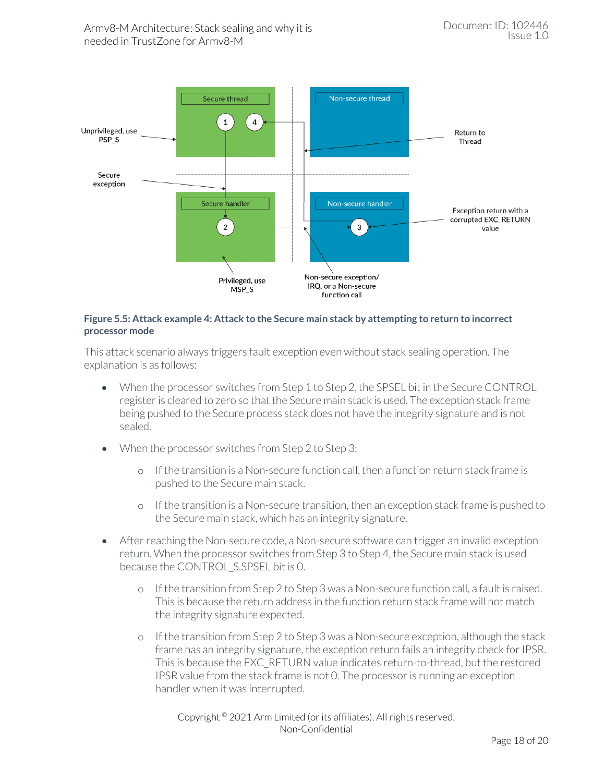

#### <span id="page-17-0"></span>**Figure 5.5: Attack example 4: Attack to the Secure main stack by attempting to return to incorrect processor mode**

This attack scenario always triggers fault exception even without stack sealing operation. The explanation is as follows:

- When the processor switches from Step 1 to Step 2, the SPSEL bit in the Secure CONTROL register is cleared to zero so that the Secure main stack is used. The exception stack frame being pushed to the Secure process stack does not have the integrity signature and is not sealed.
- When the processor switches from Step 2 to Step 3:
	- o If the transition is a Non-secure function call, then a function return stack frame is pushed to the Secure main stack.
	- o If the transition is a Non-secure transition, then an exception stack frame is pushed to the Secure main stack, which has an integrity signature.
- After reaching the Non-secure code, a Non-secure software can trigger an invalid exception return. When the processor switches from Step 3 to Step 4, the Secure main stack is used because the CONTROL\_S.SPSEL bit is 0.
	- o If the transition from Step 2 to Step 3 was a Non-secure function call, a fault is raised. This is because the return address in the function return stack frame will not match the integrity signature expected.
	- o If the transition from Step 2 to Step 3 was a Non-secure exception, although the stack frame has an integrity signature, the exception return fails an integrity check for IPSR. This is because the EXC\_RETURN value indicates return-to-thread, but the restored IPSR value from the stack frame is not 0. The processor is running an exception handler when it was interrupted.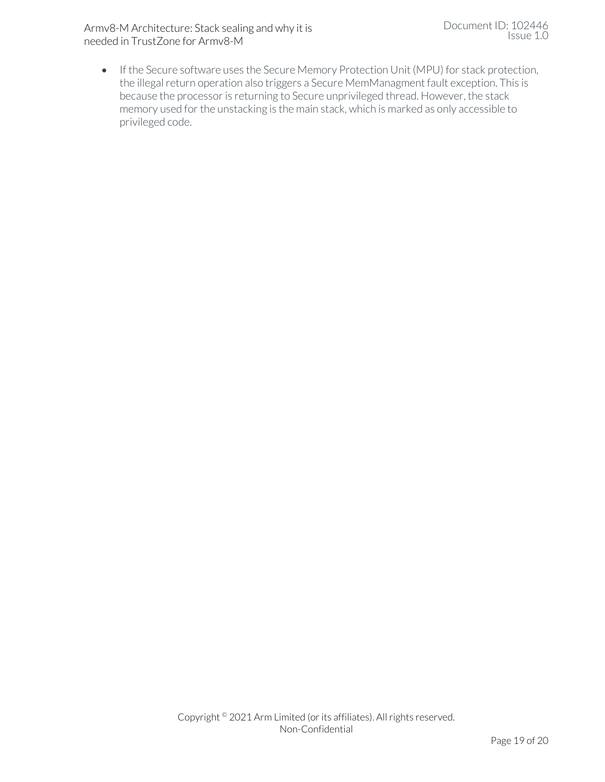Armv8-M Architecture: Stack sealing and why it is needed in TrustZone for Armv8-M

• If the Secure software uses the Secure Memory Protection Unit (MPU) for stack protection, the illegal return operation also triggers a Secure MemManagment fault exception. This is because the processor is returning to Secure unprivileged thread. However, the stack memory used for the unstacking is the main stack, which is marked as only accessible to privileged code.